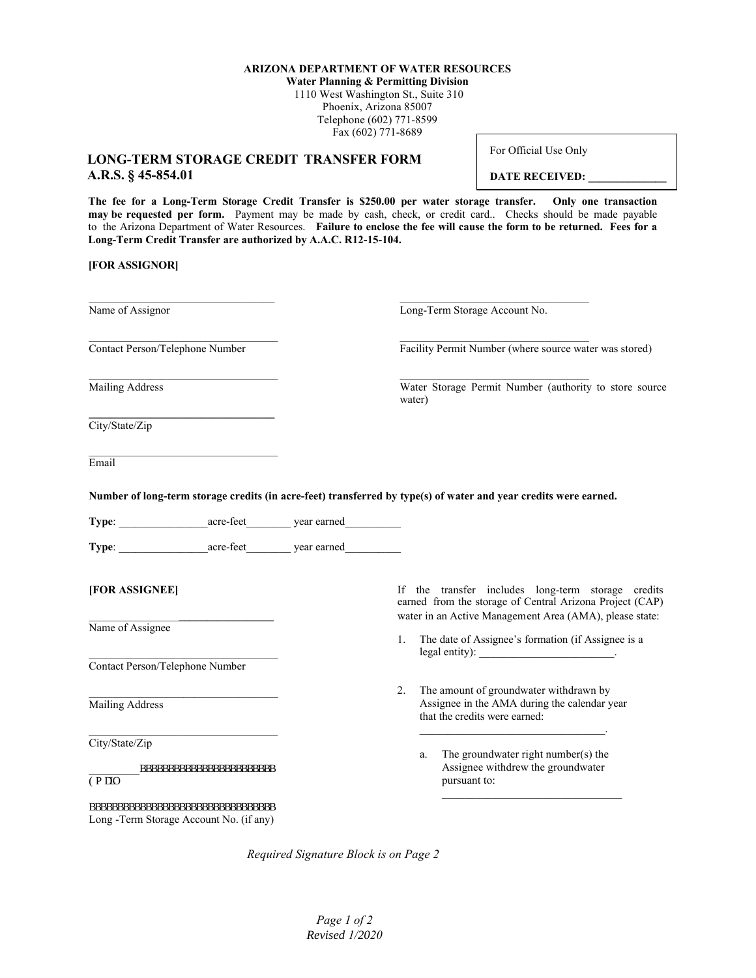## **ARIZONA DEPARTMENT OF WATER RESOURCES**

**Water Planning & Permitting Division** 1110 West Washington St., Suite 310 Phoenix, Arizona 85007 Telephone (602) 771-8599 Fax (602) 771-8689

## **LONG-TERM STORAGE CREDIT TRANSFER FORM A.R.S. § 45-854.01**

For Official Use Only

**DATE RECEIVED:** 

**The fee for a Long-Term Storage Credit Transfer is \$250.00 per water storage transfer. Only one transaction may be requested per form.** Payment may be made by cash, check, or credit card.. Checks should be made payable to the Arizona Department of Water Resources. **Failure to enclose the fee will cause the form to be returned. Fees for a Long-Term Credit Transfer are authorized by A.A.C. R12-15-104.**

## **[FOR ASSIGNOR]**

| Name of Assignor                                                                                                 |        |                                                          | Long-Term Storage Account No.                                                                                                                                             |
|------------------------------------------------------------------------------------------------------------------|--------|----------------------------------------------------------|---------------------------------------------------------------------------------------------------------------------------------------------------------------------------|
| Contact Person/Telephone Number                                                                                  |        |                                                          | Facility Permit Number (where source water was stored)                                                                                                                    |
| <b>Mailing Address</b>                                                                                           | water) |                                                          | Water Storage Permit Number (authority to store source                                                                                                                    |
| City/State/Zip                                                                                                   |        |                                                          |                                                                                                                                                                           |
| Email                                                                                                            |        |                                                          |                                                                                                                                                                           |
| Number of long-term storage credits (in acre-feet) transferred by type(s) of water and year credits were earned. |        |                                                          |                                                                                                                                                                           |
|                                                                                                                  |        |                                                          |                                                                                                                                                                           |
| Type: <u>acre-feet</u> year earned                                                                               |        |                                                          |                                                                                                                                                                           |
| [FOR ASSIGNEE]                                                                                                   |        |                                                          | If the transfer includes long-term storage credits<br>earned from the storage of Central Arizona Project (CAP)<br>water in an Active Management Area (AMA), please state: |
| Name of Assignee                                                                                                 |        | The date of Assignee's formation (if Assignee is a<br>1. |                                                                                                                                                                           |
|                                                                                                                  |        |                                                          | legal entity): ___________________________.                                                                                                                               |
| Contact Person/Telephone Number                                                                                  |        |                                                          |                                                                                                                                                                           |
| Mailing Address                                                                                                  | 2.     |                                                          | The amount of groundwater withdrawn by<br>Assignee in the AMA during the calendar year<br>that the credits were earned:                                                   |
| City/State/Zip                                                                                                   |        |                                                          |                                                                                                                                                                           |
| aaaaaaaaaaaaaaaaaaaaaaaa<br>Go ckn                                                                               |        | a.                                                       | The groundwater right number(s) the<br>Assignee withdrew the groundwater<br>pursuant to:                                                                                  |
| $\,$ aaaaaaaaaaaaaaaaaaaaaaaaaaaaaaa $\,$<br>Long -Term Storage Account No. (if any)                             |        |                                                          |                                                                                                                                                                           |

*Required Signature Block is on Page 2*